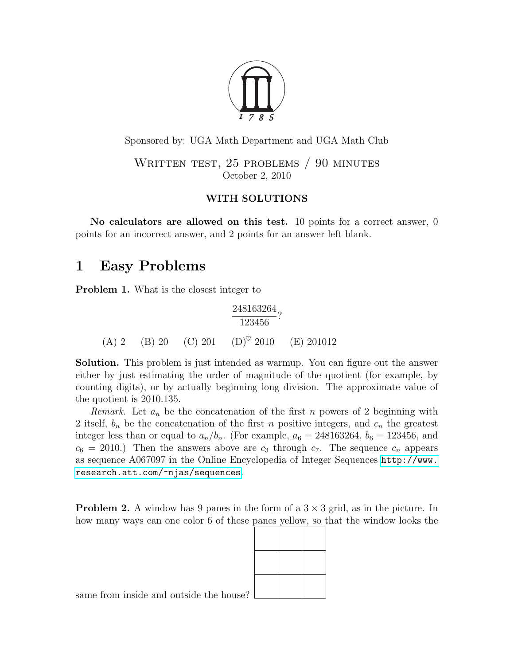

Sponsored by: UGA Math Department and UGA Math Club

WRITTEN TEST, 25 PROBLEMS / 90 MINUTES October 2, 2010

### WITH SOLUTIONS

No calculators are allowed on this test. 10 points for a correct answer, 0 points for an incorrect answer, and 2 points for an answer left blank.

## 1 Easy Problems

<span id="page-0-0"></span>Problem 1. What is the closest integer to

$$
\frac{248163264}{123456}
$$
?  
(A) 2 (B) 20 (C) 201 (D)<sup>°</sup> 2010 (E) 201012

Solution. This problem is just intended as warmup. You can figure out the answer either by just estimating the order of magnitude of the quotient (for example, by counting digits), or by actually beginning long division. The approximate value of the quotient is 2010.135.

*Remark.* Let  $a_n$  be the concatenation of the first n powers of 2 beginning with 2 itself,  $b_n$  be the concatenation of the first n positive integers, and  $c_n$  the greatest integer less than or equal to  $a_n/b_n$ . (For example,  $a_6 = 248163264$ ,  $b_6 = 123456$ , and  $c_6 = 2010$ .) Then the answers above are  $c_3$  through  $c_7$ . The sequence  $c_n$  appears as sequence A067097 in the Online Encyclopedia of Integer Sequences [http://www.](http://www.research.att.com/~njas/sequences) [research.att.com/~njas/sequences](http://www.research.att.com/~njas/sequences).

**Problem 2.** A window has 9 panes in the form of a  $3 \times 3$  grid, as in the picture. In how many ways can one color 6 of these panes yellow, so that the window looks the



same from inside and outside the house?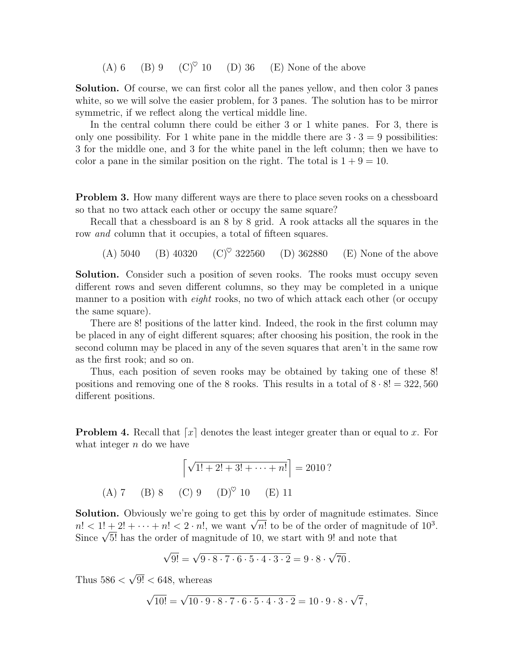(A) 6 (B) 9 (C)<sup> $\heartsuit$ </sup> 10 (D) 36 (E) None of the above

Solution. Of course, we can first color all the panes yellow, and then color 3 panes white, so we will solve the easier problem, for 3 panes. The solution has to be mirror symmetric, if we reflect along the vertical middle line.

In the central column there could be either 3 or 1 white panes. For 3, there is only one possibility. For 1 white pane in the middle there are  $3 \cdot 3 = 9$  possibilities: 3 for the middle one, and 3 for the white panel in the left column; then we have to color a pane in the similar position on the right. The total is  $1 + 9 = 10$ .

<span id="page-1-1"></span>**Problem 3.** How many different ways are there to place seven rooks on a chessboard so that no two attack each other or occupy the same square?

Recall that a chessboard is an 8 by 8 grid. A rook attacks all the squares in the row *and* column that it occupies, a total of fifteen squares.

(A) 5040 (B) 40320 (C)<sup> $\heartsuit$ </sup> 322560 (D) 362880 (E) None of the above

Solution. Consider such a position of seven rooks. The rooks must occupy seven different rows and seven different columns, so they may be completed in a unique manner to a position with *eight* rooks, no two of which attack each other (or occupy the same square).

There are 8! positions of the latter kind. Indeed, the rook in the first column may be placed in any of eight different squares; after choosing his position, the rook in the second column may be placed in any of the seven squares that aren't in the same row as the first rook; and so on.

Thus, each position of seven rooks may be obtained by taking one of these 8! positions and removing one of the 8 rooks. This results in a total of  $8 \cdot 8! = 322,560$ different positions.

<span id="page-1-0"></span>**Problem 4.** Recall that  $\lceil x \rceil$  denotes the least integer greater than or equal to x. For what integer  $n$  do we have

$$
\[\sqrt{1! + 2! + 3! + \dots + n!}\] = 2010?
$$
\n(A) 7

\n(B) 8

\n(C) 9

\n(D)° 10

\n(E) 11

Solution. Obviously we're going to get this by order of magnitude estimates. Since **Solution.** Obviously we're going to get this by order of magnitude estimates. Since  $n! < 1! + 2! + \cdots + n! < 2 \cdot n!$ , we want  $\sqrt{n!}$  to be of the order of magnitude of  $10^3$ .  $n! < 1! + 2! + \cdots + n! < 2 \cdot n!$ , we want  $\sqrt{n!}$  to be or the order or magnitude Since  $\sqrt{5!}$  has the order of magnitude of 10, we start with 9! and note that

$$
\sqrt{9!} = \sqrt{9 \cdot 8 \cdot 7 \cdot 6 \cdot 5 \cdot 4 \cdot 3 \cdot 2} = 9 \cdot 8 \cdot \sqrt{70}.
$$

Thus  $586 <$ √  $9! < 648$ , whereas

$$
\sqrt{10!} = \sqrt{10 \cdot 9 \cdot 8 \cdot 7 \cdot 6 \cdot 5 \cdot 4 \cdot 3 \cdot 2} = 10 \cdot 9 \cdot 8 \cdot \sqrt{7},
$$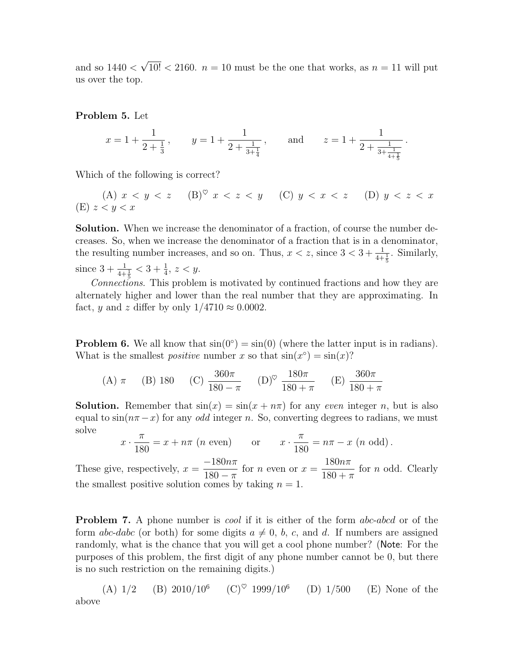and so  $1440 <$ √  $10! < 2160$ .  $n = 10$  must be the one that works, as  $n = 11$  will put us over the top.

<span id="page-2-0"></span>Problem 5. Let

$$
x = 1 + \frac{1}{2 + \frac{1}{3}}
$$
,  $y = 1 + \frac{1}{2 + \frac{1}{3 + \frac{1}{4}}}$ , and  $z = 1 + \frac{1}{2 + \frac{1}{3 + \frac{1}{4 + \frac{1}{5}}}}$ .

Which of the following is correct?

(A) 
$$
x < y < z
$$
 (B)<sup>°</sup>  $x < z < y$  (C)  $y < x < z$  (D)  $y < z < x$ 

Solution. When we increase the denominator of a fraction, of course the number decreases. So, when we increase the denominator of a fraction that is in a denominator, the resulting number increases, and so on. Thus,  $x < z$ , since  $3 < 3 + \frac{1}{4 + \frac{1}{5}}$ . Similarly, since  $3 + \frac{1}{4 + \frac{1}{5}} < 3 + \frac{1}{4}$ ,  $z < y$ .

Connections. This problem is motivated by continued fractions and how they are alternately higher and lower than the real number that they are approximating. In fact, y and z differ by only  $1/4710 \approx 0.0002$ .

<span id="page-2-1"></span>**Problem 6.** We all know that  $sin(0^{\circ}) = sin(0)$  (where the latter input is in radians). What is the smallest *positive* number x so that  $sin(x^{\circ}) = sin(x)$ ?

(A) 
$$
\pi
$$
 (B) 180 (C)  $\frac{360\pi}{180 - \pi}$  (D)<sup>°</sup>  $\frac{180\pi}{180 + \pi}$  (E)  $\frac{360\pi}{180 + \pi}$ 

**Solution.** Remember that  $sin(x) = sin(x + n\pi)$  for any *even* integer *n*, but is also equal to  $\sin(n\pi-x)$  for any *odd* integer n. So, converting degrees to radians, we must solve

$$
x \cdot \frac{\pi}{180} = x + n\pi \ (n \text{ even}) \qquad \text{or} \qquad x \cdot \frac{\pi}{180} = n\pi - x \ (n \text{ odd}).
$$

These give, respectively,  $x =$  $-180n\pi$  $\frac{180 - \pi}{180 - \pi}$  for *n* even or  $x =$  $180n\pi$  $180 + \pi$ for n odd. Clearly the smallest positive solution comes by taking  $n = 1$ .

**Problem 7.** A phone number is *cool* if it is either of the form *abc-abcd* or of the form abc-dabc (or both) for some digits  $a \neq 0$ , b, c, and d. If numbers are assigned randomly, what is the chance that you will get a cool phone number? (Note: For the purposes of this problem, the first digit of any phone number cannot be 0, but there is no such restriction on the remaining digits.)

(A)  $1/2$  (B)  $2010/10^6$  (C)<sup> $\heartsuit$ </sup> 1999/10<sup>6</sup>  $(D)$  1/500  $(E)$  None of the above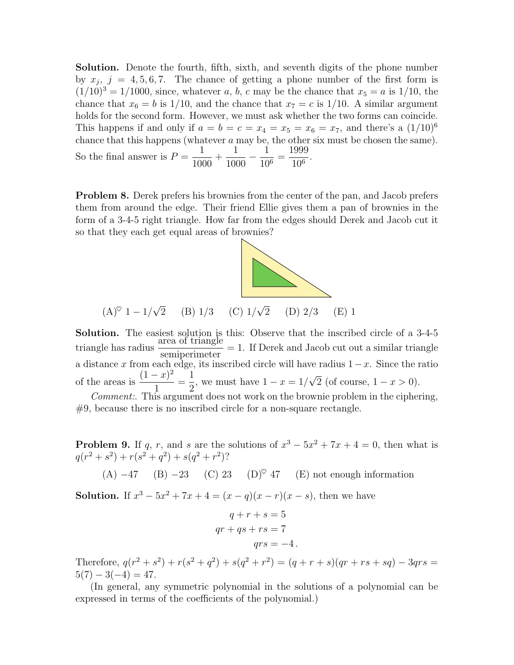Solution. Denote the fourth, fifth, sixth, and seventh digits of the phone number by  $x_j$ ,  $j = 4, 5, 6, 7$ . The chance of getting a phone number of the first form is  $(1/10)^3 = 1/1000$ , since, whatever a, b, c may be the chance that  $x_5 = a$  is 1/10, the chance that  $x_6 = b$  is 1/10, and the chance that  $x_7 = c$  is 1/10. A similar argument holds for the second form. However, we must ask whether the two forms can coincide. This happens if and only if  $a = b = c = x_4 = x_5 = x_6 = x_7$ , and there's a  $(1/10)^6$ chance that this happens (whatever a may be, the other six must be chosen the same). So the final answer is  $P =$ 1 1000  $+$ 1 1000  $-\frac{1}{10}$  $\frac{1}{10^6}$  = 1999  $\frac{1000}{10^6}$ .

<span id="page-3-0"></span>**Problem 8.** Derek prefers his brownies from the center of the pan, and Jacob prefers them from around the edge. Their friend Ellie gives them a pan of brownies in the form of a 3-4-5 right triangle. How far from the edges should Derek and Jacob cut it so that they each get equal areas of brownies?



Solution. The easiest solution is this: Observe that the inscribed circle of a 3-4-5 triangle has radius  $\frac{\text{area of triangle}}{\cdot} = 1$ . If Derek and Jacob cut out a similar triangle semiperimeter a distance x from each edge, its inscribed circle will have radius  $1-x$ . Since the ratio of the areas is  $\frac{(1-x)^2}{1}$ 1 = 1 2 , we must have  $1 - x = 1/$ √ 2 (of course,  $1 - x > 0$ ).

Comment:. This argument does not work on the brownie problem in the ciphering,  $#9$ , because there is no inscribed circle for a non-square rectangle.

**Problem 9.** If q, r, and s are the solutions of  $x^3 - 5x^2 + 7x + 4 = 0$ , then what is  $q(r^2 + s^2) + r(s^2 + q^2) + s(q^2 + r^2)$ ?

(A)  $-47$  (B)  $-23$  (C) 23 (D)<sup> $\heartsuit$ </sup> 47 (E) not enough information

**Solution.** If  $x^3 - 5x^2 + 7x + 4 = (x - q)(x - r)(x - s)$ , then we have

$$
q + r + s = 5
$$
  
qr + qs + rs = 7  
qrs = -4.

Therefore,  $q(r^2 + s^2) + r(s^2 + q^2) + s(q^2 + r^2) = (q + r + s)(qr + rs + sq) - 3qrs =$  $5(7) - 3(-4) = 47.$ 

(In general, any symmetric polynomial in the solutions of a polynomial can be expressed in terms of the coefficients of the polynomial.)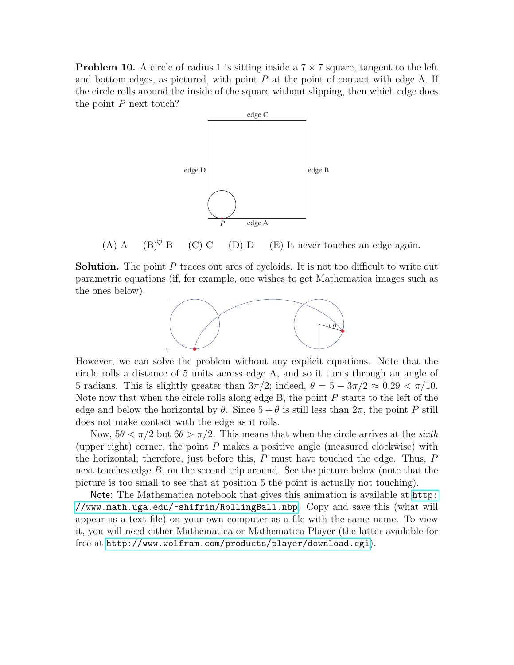**Problem 10.** A circle of radius 1 is sitting inside a  $7 \times 7$  square, tangent to the left and bottom edges, as pictured, with point  $P$  at the point of contact with edge  $A$ . If the circle rolls around the inside of the square without slipping, then which edge does the point  $P$  next touch?



(A) A (B)<sup> $\heartsuit$ </sup> B (C) C (D) D (E) It never touches an edge again.

Solution. The point P traces out arcs of cycloids. It is not too difficult to write out parametric equations (if, for example, one wishes to get Mathematica images such as the ones below).



However, we can solve the problem without any explicit equations. Note that the circle rolls a distance of 5 units across edge A, and so it turns through an angle of 5 radians. This is slightly greater than  $3\pi/2$ ; indeed,  $\theta = 5 - 3\pi/2 \approx 0.29 < \pi/10$ . Note now that when the circle rolls along edge B, the point  $P$  starts to the left of the edge and below the horizontal by  $\theta$ . Since  $5 + \theta$  is still less than  $2\pi$ , the point P still does not make contact with the edge as it rolls.

Now,  $5\theta < \pi/2$  but  $6\theta > \pi/2$ . This means that when the circle arrives at the sixth (upper right) corner, the point  $P$  makes a positive angle (measured clockwise) with the horizontal; therefore, just before this,  $P$  must have touched the edge. Thus,  $P$ next touches edge  $B$ , on the second trip around. See the picture below (note that the picture is too small to see that at position 5 the point is actually not touching).

Note: The Mathematica notebook that gives this animation is available at [http:](http://www.math.uga.edu/~shifrin/RollingBall.nbp) [//www.math.uga.edu/~shifrin/RollingBall.nbp](http://www.math.uga.edu/~shifrin/RollingBall.nbp). Copy and save this (what will appear as a text file) on your own computer as a file with the same name. To view it, you will need either Mathematica or Mathematica Player (the latter available for free at <http://www.wolfram.com/products/player/download.cgi>).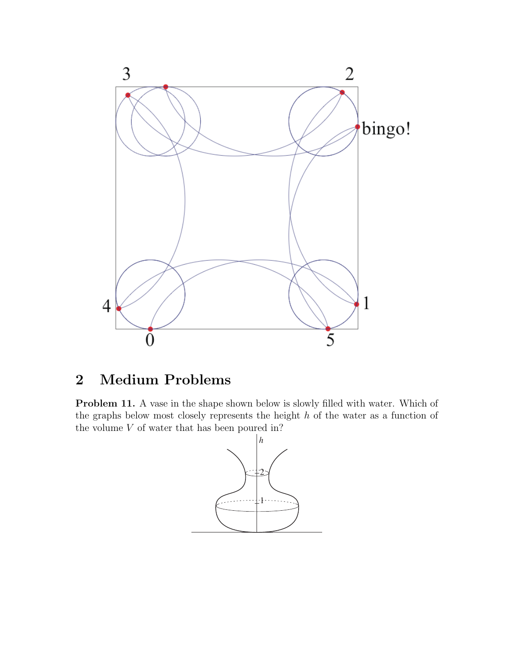

# 2 Medium Problems

Problem 11. A vase in the shape shown below is slowly filled with water. Which of the graphs below most closely represents the height h of the water as a function of the volume  $V$  of water that has been poured in?

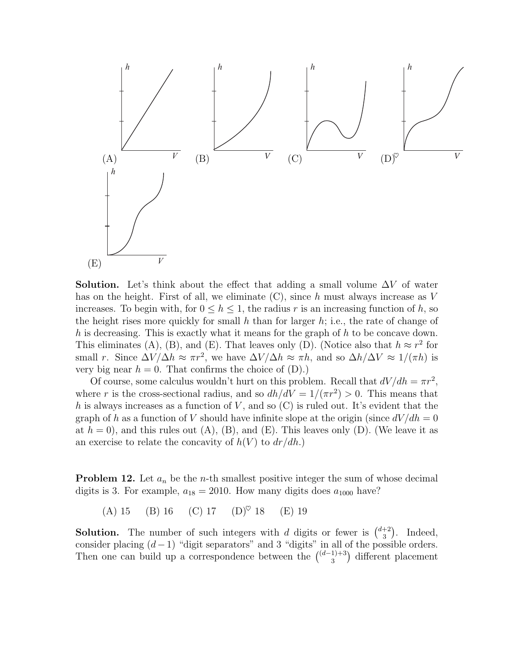

**Solution.** Let's think about the effect that adding a small volume  $\Delta V$  of water has on the height. First of all, we eliminate  $(C)$ , since h must always increase as V increases. To begin with, for  $0 \leq h \leq 1$ , the radius r is an increasing function of h, so the height rises more quickly for small h than for larger h; i.e., the rate of change of h is decreasing. This is exactly what it means for the graph of h to be concave down. This eliminates (A), (B), and (E). That leaves only (D). (Notice also that  $h \approx r^2$  for small r. Since  $\Delta V/\Delta h \approx \pi r^2$ , we have  $\Delta V/\Delta h \approx \pi h$ , and so  $\Delta h/\Delta V \approx 1/(\pi h)$  is very big near  $h = 0$ . That confirms the choice of  $(D)$ .)

Of course, some calculus wouldn't hurt on this problem. Recall that  $dV/dh = \pi r^2$ , where r is the cross-sectional radius, and so  $dh/dV = 1/(\pi r^2) > 0$ . This means that h is always increases as a function of V, and so  $(C)$  is ruled out. It's evident that the graph of h as a function of V should have infinite slope at the origin (since  $dV/dh = 0$ at  $h = 0$ , and this rules out  $(A)$ ,  $(B)$ , and  $(E)$ . This leaves only  $(D)$ . (We leave it as an exercise to relate the concavity of  $h(V)$  to  $dr/dh$ .)

<span id="page-6-0"></span>**Problem 12.** Let  $a_n$  be the *n*-th smallest positive integer the sum of whose decimal digits is 3. For example,  $a_{18} = 2010$ . How many digits does  $a_{1000}$  have?

(A) 15 (B) 16 (C) 17 (D)<sup> $\heartsuit$ </sup> 18 (E) 19

**Solution.** The number of such integers with d digits or fewer is  $\binom{d+2}{3}$  $\binom{+2}{3}$ . Indeed, consider placing  $(d-1)$  "digit separators" and 3 "digits" in all of the possible orders. Then one can build up a correspondence between the  $\binom{(d-1)+3}{3}$  $_3^{1+3}$  different placement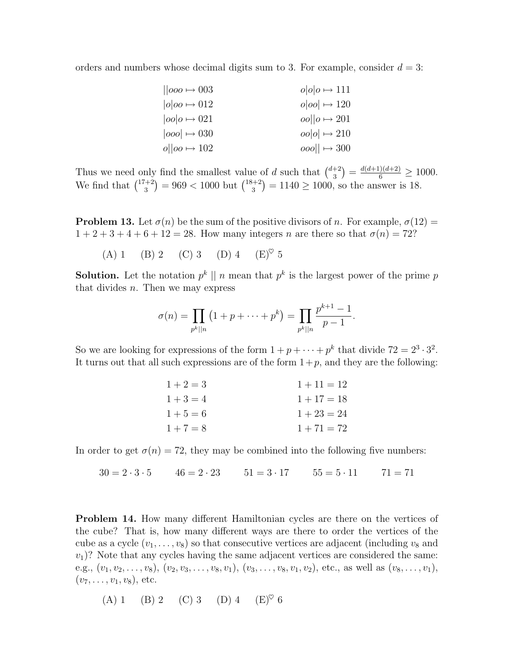orders and numbers whose decimal digits sum to 3. For example, consider  $d = 3$ :

| $  oo \rightarrow 003$  | $o o o \mapsto 111$  |
|-------------------------|----------------------|
| $ o oo \rightarrow 012$ | $o oo  \mapsto 120$  |
| $ oo _0 \mapsto 021$    | $ oo  o \mapsto 201$ |
| $ ooo  \rightarrow 030$ | $oo o  \mapsto 210$  |
| $o  oo \rightarrow 102$ | $ 000  \mapsto 300$  |

Thus we need only find the smallest value of d such that  $\binom{d+2}{3}$  $\binom{+2}{3} = \frac{d(d+1)(d+2)}{6} \ge 1000.$ We find that  $\binom{17+2}{3}$  $\binom{1+2}{3}$  = 969 < 1000 but  $\binom{18+2}{3}$  $3^{(+2)}$  = 1140  $\geq$  1000, so the answer is 18.

<span id="page-7-0"></span>**Problem 13.** Let  $\sigma(n)$  be the sum of the positive divisors of n. For example,  $\sigma(12)$  =  $1 + 2 + 3 + 4 + 6 + 12 = 28$ . How many integers *n* are there so that  $\sigma(n) = 72$ ?

(A) 1 (B) 2 (C) 3 (D) 4 (E)<sup> $\heartsuit$ </sup> 5

**Solution.** Let the notation  $p^k \parallel n$  mean that  $p^k$  is the largest power of the prime p that divides  $n$ . Then we may express

$$
\sigma(n) = \prod_{p^k||n} (1 + p + \dots + p^k) = \prod_{p^k||n} \frac{p^{k+1} - 1}{p - 1}.
$$

So we are looking for expressions of the form  $1 + p + \cdots + p^k$  that divide  $72 = 2^3 \cdot 3^2$ . It turns out that all such expressions are of the form  $1+p$ , and they are the following:

| $1+2=3$ | $1 + 11 = 12$ |
|---------|---------------|
| $1+3=4$ | $1 + 17 = 18$ |
| $1+5=6$ | $1 + 23 = 24$ |
| $1+7=8$ | $1 + 71 = 72$ |

In order to get  $\sigma(n) = 72$ , they may be combined into the following five numbers:

 $30 = 2 \cdot 3 \cdot 5$   $46 = 2 \cdot 23$   $51 = 3 \cdot 17$   $55 = 5 \cdot 11$   $71 = 71$ 

<span id="page-7-1"></span>**Problem 14.** How many different Hamiltonian cycles are there on the vertices of the cube? That is, how many different ways are there to order the vertices of the cube as a cycle  $(v_1, \ldots, v_8)$  so that consecutive vertices are adjacent (including  $v_8$  and  $v_1$ ? Note that any cycles having the same adjacent vertices are considered the same: e.g.,  $(v_1, v_2, \ldots, v_8)$ ,  $(v_2, v_3, \ldots, v_8, v_1)$ ,  $(v_3, \ldots, v_8, v_1, v_2)$ , etc., as well as  $(v_8, \ldots, v_1)$ ,  $(v_7, \ldots, v_1, v_8)$ , etc.

(A) 1 (B) 2 (C) 3 (D) 4 (E)♥ 6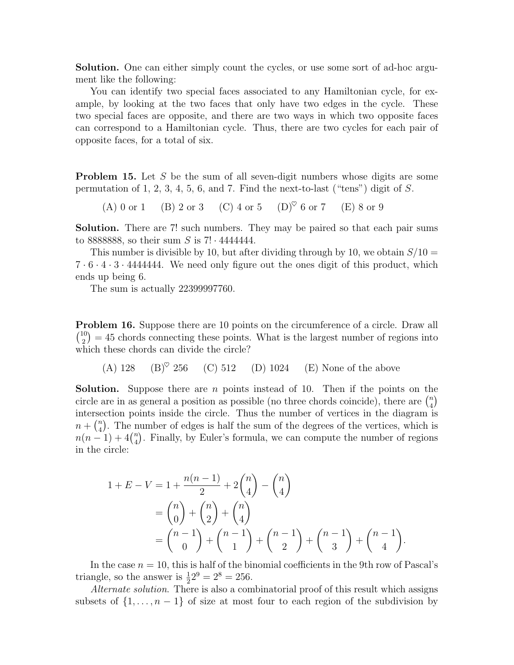Solution. One can either simply count the cycles, or use some sort of ad-hoc argument like the following:

You can identify two special faces associated to any Hamiltonian cycle, for example, by looking at the two faces that only have two edges in the cycle. These two special faces are opposite, and there are two ways in which two opposite faces can correspond to a Hamiltonian cycle. Thus, there are two cycles for each pair of opposite faces, for a total of six.

<span id="page-8-0"></span>**Problem 15.** Let S be the sum of all seven-digit numbers whose digits are some permutation of 1, 2, 3, 4, 5, 6, and 7. Find the next-to-last ("tens") digit of  $S$ .

(A) 0 or 1 (B) 2 or 3 (C) 4 or 5 (D)<sup> $\heartsuit$ </sup> 6 or 7 (E) 8 or 9

Solution. There are 7! such numbers. They may be paired so that each pair sums to 8888888, so their sum S is  $7! \cdot 4444444$ .

This number is divisible by 10, but after dividing through by 10, we obtain  $S/10 =$  $7 \cdot 6 \cdot 4 \cdot 3 \cdot 4444444$ . We need only figure out the ones digit of this product, which ends up being 6.

The sum is actually 22399997760.

<span id="page-8-1"></span>**Problem 16.** Suppose there are 10 points on the circumference of a circle. Draw all  $\binom{10}{2}$  $\binom{10}{2}$  = 45 chords connecting these points. What is the largest number of regions into which these chords can divide the circle?

(A)  $128$  (B)<sup> $\heartsuit$ </sup> 256 (C) 512 (D) 1024 (E) None of the above

**Solution.** Suppose there are n points instead of 10. Then if the points on the circle are in as general a position as possible (no three chords coincide), there are  $\binom{n}{4}$  $\binom{n}{4}$ intersection points inside the circle. Thus the number of vertices in the diagram is  $n + \binom{n}{4}$ <sup>n</sup>). The number of edges is half the sum of the degrees of the vertices, which is  $n(n-1) + 4{n \choose 4}$  $_{4}^{n}$ ). Finally, by Euler's formula, we can compute the number of regions in the circle:

$$
1 + E - V = 1 + \frac{n(n-1)}{2} + 2\binom{n}{4} - \binom{n}{4}
$$
  
=  $\binom{n}{0} + \binom{n}{2} + \binom{n}{4}$   
=  $\binom{n-1}{0} + \binom{n-1}{1} + \binom{n-1}{2} + \binom{n-1}{3} + \binom{n-1}{4}$ .

In the case  $n = 10$ , this is half of the binomial coefficients in the 9th row of Pascal's triangle, so the answer is  $\frac{1}{2}2^9 = 2^8 = 256$ .

Alternate solution. There is also a combinatorial proof of this result which assigns subsets of  $\{1, \ldots, n-1\}$  of size at most four to each region of the subdivision by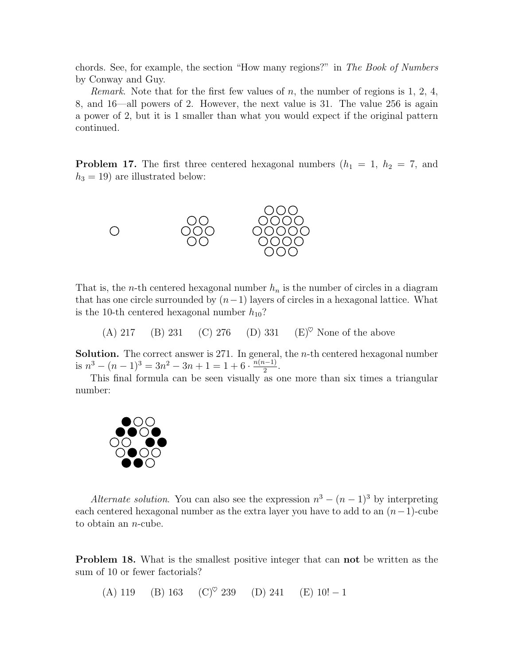chords. See, for example, the section "How many regions?" in The Book of Numbers by Conway and Guy.

*Remark.* Note that for the first few values of  $n$ , the number of regions is 1, 2, 4, 8, and 16—all powers of 2. However, the next value is 31. The value 256 is again a power of 2, but it is 1 smaller than what you would expect if the original pattern continued.

<span id="page-9-1"></span>**Problem 17.** The first three centered hexagonal numbers  $(h_1 = 1, h_2 = 7, \text{ and})$  $h_3 = 19$ ) are illustrated below:



That is, the *n*-th centered hexagonal number  $h_n$  is the number of circles in a diagram that has one circle surrounded by  $(n-1)$  layers of circles in a hexagonal lattice. What is the 10-th centered hexagonal number  $h_{10}$ ?

(A) 217 (B) 231 (C) 276 (D) 331 (E)<sup> $\heartsuit$ </sup> None of the above

**Solution.** The correct answer is 271. In general, the *n*-th centered hexagonal number is  $n^3 - (n-1)^3 = 3n^2 - 3n + 1 = 1 + 6 \cdot \frac{n(n-1)}{2}$  $\frac{i-1)}{2}$ .

This final formula can be seen visually as one more than six times a triangular number:



Alternate solution. You can also see the expression  $n^3 - (n-1)^3$  by interpreting each centered hexagonal number as the extra layer you have to add to an  $(n-1)$ -cube to obtain an n-cube.

<span id="page-9-0"></span>**Problem 18.** What is the smallest positive integer that can **not** be written as the sum of 10 or fewer factorials?

(A) 119 (B) 163 (C)<sup> $\heartsuit$ </sup> 239 (D) 241 (E) 10! -1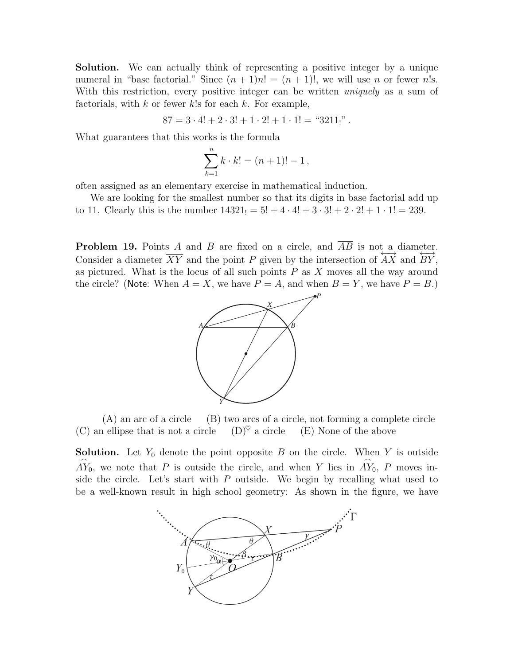Solution. We can actually think of representing a positive integer by a unique numeral in "base factorial." Since  $(n + 1)n! = (n + 1)!$ , we will use n or fewer n!s. With this restriction, every positive integer can be written *uniquely* as a sum of factorials, with  $k$  or fewer  $k!$ s for each  $k$ . For example,

$$
87 = 3 \cdot 4! + 2 \cdot 3! + 1 \cdot 2! + 1 \cdot 1! = "3211,"
$$

What guarantees that this works is the formula

$$
\sum_{k=1}^{n} k \cdot k! = (n+1)! - 1,
$$

often assigned as an elementary exercise in mathematical induction.

We are looking for the smallest number so that its digits in base factorial add up to 11. Clearly this is the number  $14321_1 = 5! + 4 \cdot 4! + 3 \cdot 3! + 2 \cdot 2! + 1 \cdot 1! = 239$ .

<span id="page-10-0"></span>**Problem 19.** Points A and B are fixed on a circle, and  $\overline{AB}$  is not a diameter. Consider a diameter  $\overline{XY}$  and the point P given by the intersection of  $\overleftrightarrow{AX}$  and  $\overleftrightarrow{BY}$ , as pictured. What is the locus of all such points  $P$  as  $X$  moves all the way around the circle? (Note: When  $A = X$ , we have  $P = A$ , and when  $B = Y$ , we have  $P = B$ .)



(A) an arc of a circle (B) two arcs of a circle, not forming a complete circle (C) an ellipse that is not a circle (D)<sup> $\heartsuit$ </sup> a circle (E) None of the above

**Solution.** Let  $Y_0$  denote the point opposite B on the circle. When Y is outside  $\widehat{AY_0}$ , we note that P is outside the circle, and when Y lies in  $\widehat{AY_0}$ , P moves inside the circle. Let's start with  $P$  outside. We begin by recalling what used to be a well-known result in high school geometry: As shown in the figure, we have

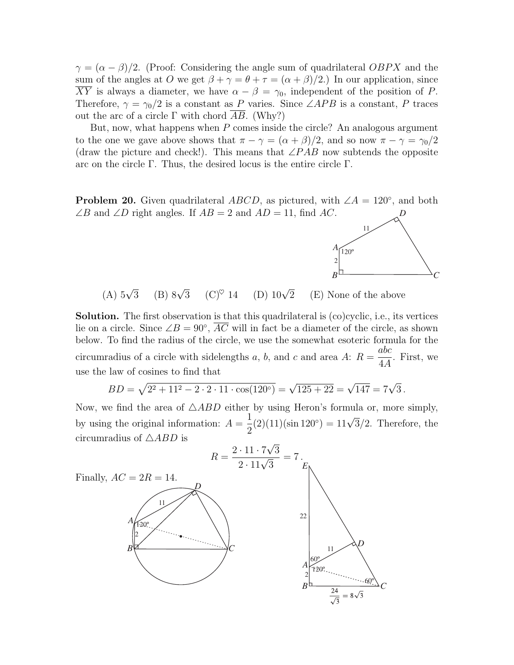$\gamma = (\alpha - \beta)/2$ . (Proof: Considering the angle sum of quadrilateral OBPX and the sum of the angles at O we get  $\beta + \gamma = \theta + \tau = (\alpha + \beta)/2$ . In our application, since  $\overline{XY}$  is always a diameter, we have  $\alpha - \beta = \gamma_0$ , independent of the position of P. Therefore,  $\gamma = \gamma_0/2$  is a constant as P varies. Since ∠APB is a constant, P traces out the arc of a circle  $\Gamma$  with chord AB. (Why?)

But, now, what happens when  $P$  comes inside the circle? An analogous argument to the one we gave above shows that  $\pi - \gamma = (\alpha + \beta)/2$ , and so now  $\pi - \gamma = \gamma_0/2$ (draw the picture and check!). This means that  $\angle PAB$  now subtends the opposite arc on the circle Γ. Thus, the desired locus is the entire circle Γ.

<span id="page-11-0"></span>**Problem 20.** Given quadrilateral  $ABCD$ , as pictured, with  $\angle A = 120^{\circ}$ , and both  $\angle B$  and  $\angle D$  right angles. If  $AB = 2$  and  $AD = 11$ , find AC. *D*



(A)  $5\sqrt{3}$ (B)  $8\sqrt{3}$  $(C)^\heartsuit$  14 (D)  $10\sqrt{2}$ (E) None of the above

Solution. The first observation is that this quadrilateral is (co)cyclic, i.e., its vertices lie on a circle. Since  $\angle B = 90^{\circ}$ ,  $\overline{AC}$  will in fact be a diameter of the circle, as shown below. To find the radius of the circle, we use the somewhat esoteric formula for the circumradius of a circle with sidelengths a, b, and c and area A:  $R =$ abc 4A . First, we use the law of cosines to find that

$$
BD = \sqrt{2^2 + 11^2 - 2 \cdot 2 \cdot 11 \cdot \cos(120^\circ)} = \sqrt{125 + 22} = \sqrt{147} = 7\sqrt{3}.
$$

Now, we find the area of  $\triangle ABD$  either by using Heron's formula or, more simply, by using the original information:  $A =$ 1 2  $(2)(11)(\sin 120^\circ) = 11\sqrt{3}/2.$  Therefore, the circumradius of  $\triangle ABD$  is √

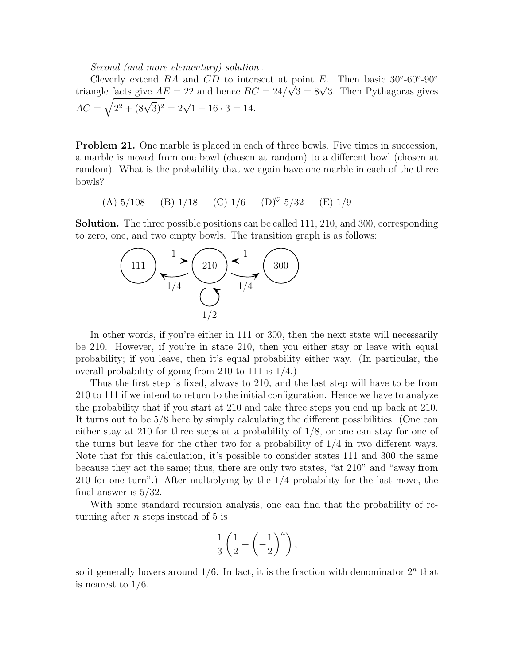Second (and more elementary) solution..

Cleverly extend  $\overline{BA}$  and  $\overline{CD}$  to intersect at point E. Then basic 30°-60°-90° Cleverly extend BA and CD to intersect at point E. Then basic 30.-00.-90<br>triangle facts give  $AE = 22$  and hence  $BC = 24/\sqrt{3} = 8\sqrt{3}$ . Then Pythagoras gives  $AC = \sqrt{2^2 + (8\sqrt{3})^2} = 2\sqrt{1 + 16 \cdot 3} = 14.$ 

<span id="page-12-0"></span>**Problem 21.** One marble is placed in each of three bowls. Five times in succession, a marble is moved from one bowl (chosen at random) to a different bowl (chosen at random). What is the probability that we again have one marble in each of the three bowls?

(A) 
$$
5/108
$$
 (B)  $1/18$  (C)  $1/6$  (D)<sup>°</sup>  $5/32$  (E)  $1/9$ 

Solution. The three possible positions can be called 111, 210, and 300, corresponding to zero, one, and two empty bowls. The transition graph is as follows:



In other words, if you're either in 111 or 300, then the next state will necessarily be 210. However, if you're in state 210, then you either stay or leave with equal probability; if you leave, then it's equal probability either way. (In particular, the overall probability of going from 210 to 111 is 1/4.)

Thus the first step is fixed, always to 210, and the last step will have to be from 210 to 111 if we intend to return to the initial configuration. Hence we have to analyze the probability that if you start at 210 and take three steps you end up back at 210. It turns out to be 5/8 here by simply calculating the different possibilities. (One can either stay at 210 for three steps at a probability of 1/8, or one can stay for one of the turns but leave for the other two for a probability of  $1/4$  in two different ways. Note that for this calculation, it's possible to consider states 111 and 300 the same because they act the same; thus, there are only two states, "at 210" and "away from 210 for one turn".) After multiplying by the 1/4 probability for the last move, the final answer is 5/32.

With some standard recursion analysis, one can find that the probability of returning after  $n$  steps instead of 5 is

$$
\frac{1}{3}\left(\frac{1}{2}+\left(-\frac{1}{2}\right)^n\right),\right
$$

so it generally hovers around  $1/6$ . In fact, it is the fraction with denominator  $2<sup>n</sup>$  that is nearest to 1/6.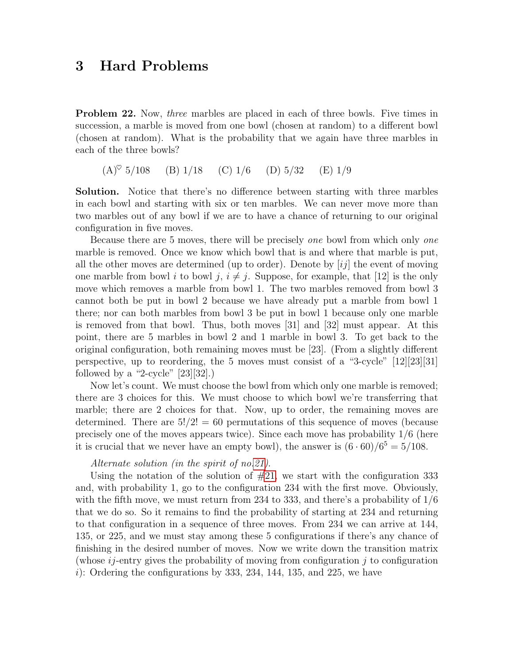## 3 Hard Problems

<span id="page-13-0"></span>**Problem 22.** Now, *three* marbles are placed in each of three bowls. Five times in succession, a marble is moved from one bowl (chosen at random) to a different bowl (chosen at random). What is the probability that we again have three marbles in each of the three bowls?

 $(A)^\heartsuit$  5/108 (B) 1/18 (C) 1/6 (D) 5/32 (E) 1/9

Solution. Notice that there's no difference between starting with three marbles in each bowl and starting with six or ten marbles. We can never move more than two marbles out of any bowl if we are to have a chance of returning to our original configuration in five moves.

Because there are 5 moves, there will be precisely one bowl from which only one marble is removed. Once we know which bowl that is and where that marble is put, all the other moves are determined (up to order). Denote by  $[ij]$  the event of moving one marble from bowl i to bowl j,  $i \neq j$ . Suppose, for example, that [12] is the only move which removes a marble from bowl 1. The two marbles removed from bowl 3 cannot both be put in bowl 2 because we have already put a marble from bowl 1 there; nor can both marbles from bowl 3 be put in bowl 1 because only one marble is removed from that bowl. Thus, both moves [31] and [32] must appear. At this point, there are 5 marbles in bowl 2 and 1 marble in bowl 3. To get back to the original configuration, both remaining moves must be [23]. (From a slightly different perspective, up to reordering, the 5 moves must consist of a "3-cycle"  $[12][23][31]$ followed by a "2-cycle"  $[23][32]$ .)

Now let's count. We must choose the bowl from which only one marble is removed; there are 3 choices for this. We must choose to which bowl we're transferring that marble; there are 2 choices for that. Now, up to order, the remaining moves are determined. There are  $5!/2! = 60$  permutations of this sequence of moves (because precisely one of the moves appears twice). Since each move has probability 1/6 (here it is crucial that we never have an empty bowl), the answer is  $(6 \cdot 60)/6^5 = 5/108$ .

#### Alternate solution (in the spirit of no[.21\)](#page-12-0).

Using the notation of the solution of  $#21$ , we start with the configuration 333 and, with probability 1, go to the configuration 234 with the first move. Obviously, with the fifth move, we must return from 234 to 333, and there's a probability of  $1/6$ that we do so. So it remains to find the probability of starting at 234 and returning to that configuration in a sequence of three moves. From 234 we can arrive at 144, 135, or 225, and we must stay among these 5 configurations if there's any chance of finishing in the desired number of moves. Now we write down the transition matrix (whose  $i_j$ -entry gives the probability of moving from configuration j to configuration i): Ordering the configurations by 333, 234, 144, 135, and 225, we have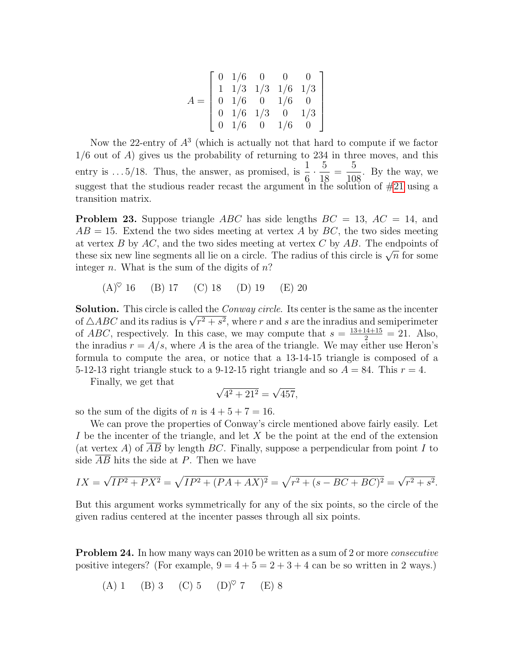$$
A = \left[\begin{array}{cccc} 0 & 1/6 & 0 & 0 & 0 \\ 1 & 1/3 & 1/3 & 1/6 & 1/3 \\ 0 & 1/6 & 0 & 1/6 & 0 \\ 0 & 1/6 & 1/3 & 0 & 1/3 \\ 0 & 1/6 & 0 & 1/6 & 0 \end{array}\right]
$$

Now the 22-entry of  $A<sup>3</sup>$  (which is actually not that hard to compute if we factor  $1/6$  out of A) gives us the probability of returning to 234 in three moves, and this entry is ...  $5/18$ . Thus, the answer, as promised, is  $\frac{1}{6}$ 6  $\cdot \frac{5}{16}$ 18 = 5 108 . By the way, we suggest that the studious reader recast the argument in the solution of [#21](#page-12-0) using a transition matrix.

<span id="page-14-1"></span>**Problem 23.** Suppose triangle ABC has side lengths  $BC = 13$ ,  $AC = 14$ , and  $AB = 15$ . Extend the two sides meeting at vertex A by BC, the two sides meeting at vertex  $B$  by  $AC$ , and the two sides meeting at vertex  $C$  by  $AB$ . The endpoints of at vertex *D* by *AC*, and the two sides meeting at vertex *C* by *AD*. The endpoints of these six new line segments all lie on a circle. The radius of this circle is  $\sqrt{n}$  for some integer *n*. What is the sum of the digits of  $n$ ?

 $(A)^\heartsuit$  16 (B) 17 (C) 18 (D) 19 (E) 20

Solution. This circle is called the *Conway circle*. Its center is the same as the incenter **Solution.** I his circle is called the *Conway circle*. Its center is the same as the incenter<br>of  $\triangle ABC$  and its radius is  $\sqrt{r^2 + s^2}$ , where r and s are the inradius and semiperimeter of *ABC*, respectively. In this case, we may compute that  $s = \frac{13+14+15}{2} = 21$ . Also, the inradius  $r = A/s$ , where A is the area of the triangle. We may either use Heron's formula to compute the area, or notice that a 13-14-15 triangle is composed of a 5-12-13 right triangle stuck to a 9-12-15 right triangle and so  $A = 84$ . This  $r = 4$ .

Finally, we get that

$$
\sqrt{4^2 + 21^2} = \sqrt{457},
$$

so the sum of the digits of n is  $4+5+7=16$ .

We can prove the properties of Conway's circle mentioned above fairly easily. Let I be the incenter of the triangle, and let X be the point at the end of the extension (at vertex A) of  $\overline{AB}$  by length BC. Finally, suppose a perpendicular from point I to side  $\overline{AB}$  hits the side at P. Then we have

$$
IX = \sqrt{IP^2 + PX^2} = \sqrt{IP^2 + (PA + AX)^2} = \sqrt{r^2 + (s - BC + BC)^2} = \sqrt{r^2 + s^2}.
$$

But this argument works symmetrically for any of the six points, so the circle of the given radius centered at the incenter passes through all six points.

<span id="page-14-0"></span>**Problem 24.** In how many ways can 2010 be written as a sum of 2 or more *consecutive* positive integers? (For example,  $9 = 4 + 5 = 2 + 3 + 4$  can be so written in 2 ways.)

(A) 1 (B) 3 (C) 5 (D)♥ 7 (E) 8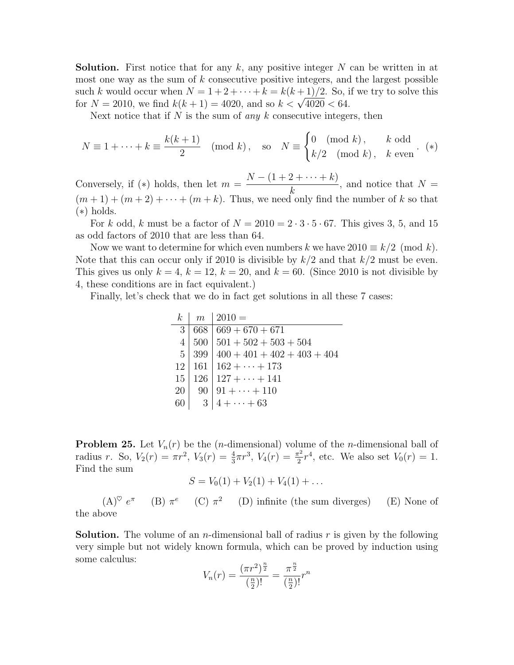**Solution.** First notice that for any k, any positive integer N can be written in at most one way as the sum of  $k$  consecutive positive integers, and the largest possible such k would occur when  $N = 1 + 2 + \cdots + k = k(k+1)/2$ . So, if we try to solve this such k would occur when  $N = 1 + 2 + \cdots + k = k(k+1)/2$ . So, 1<br>for  $N = 2010$ , we find  $k(k+1) = 4020$ , and so  $k < \sqrt{4020} < 64$ .

Next notice that if  $N$  is the sum of *any*  $k$  consecutive integers, then

$$
N \equiv 1 + \dots + k \equiv \frac{k(k+1)}{2} \pmod{k}, \quad \text{so} \quad N \equiv \begin{cases} 0 \pmod{k}, & k \text{ odd} \\ k/2 \pmod{k}, & k \text{ even} \end{cases}.
$$
 (\*)

Conversely, if  $(*)$  holds, then let  $m =$  $N - (1 + 2 + \cdots + k)$ k , and notice that  $N =$  $(m+1) + (m+2) + \cdots + (m+k)$ . Thus, we need only find the number of k so that (∗) holds.

For k odd, k must be a factor of  $N = 2010 = 2 \cdot 3 \cdot 5 \cdot 67$ . This gives 3, 5, and 15 as odd factors of 2010 that are less than 64.

Now we want to determine for which even numbers k we have  $2010 \equiv k/2 \pmod{k}$ . Note that this can occur only if 2010 is divisible by  $k/2$  and that  $k/2$  must be even. This gives us only  $k = 4$ ,  $k = 12$ ,  $k = 20$ , and  $k = 60$ . (Since 2010 is not divisible by 4, these conditions are in fact equivalent.)

Finally, let's check that we do in fact get solutions in all these 7 cases:

k m 2010 = 3 668 669 + 670 + 671 4 500 501 + 502 + 503 + 504 5 399 400 + 401 + 402 + 403 + 404 12 161 162 + · · · + 173 15 126 127 + · · · + 141 20 90 91 + · · · + 110 60 3 4 + · · · + 63

<span id="page-15-0"></span>**Problem 25.** Let  $V_n(r)$  be the (*n*-dimensional) volume of the *n*-dimensional ball of radius r. So,  $V_2(r) = \pi r^2$ ,  $V_3(r) = \frac{4}{3}\pi r^3$ ,  $V_4(r) = \frac{\pi^2}{2}$  $\frac{\tau^2}{2}r^4$ , etc. We also set  $V_0(r) = 1$ . Find the sum

$$
S = V_0(1) + V_2(1) + V_4(1) + \dots
$$

 $(A)^\heartsuit e^\pi$ (B)  $\pi^e$  (C)  $\pi^2$ (D) infinite (the sum diverges) (E) None of the above

**Solution.** The volume of an *n*-dimensional ball of radius r is given by the following very simple but not widely known formula, which can be proved by induction using some calculus: n n

$$
V_n(r) = \frac{(\pi r^2)^{\frac{n}{2}}}{(\frac{n}{2})!} = \frac{\pi^{\frac{n}{2}}}{(\frac{n}{2})!}r^n
$$